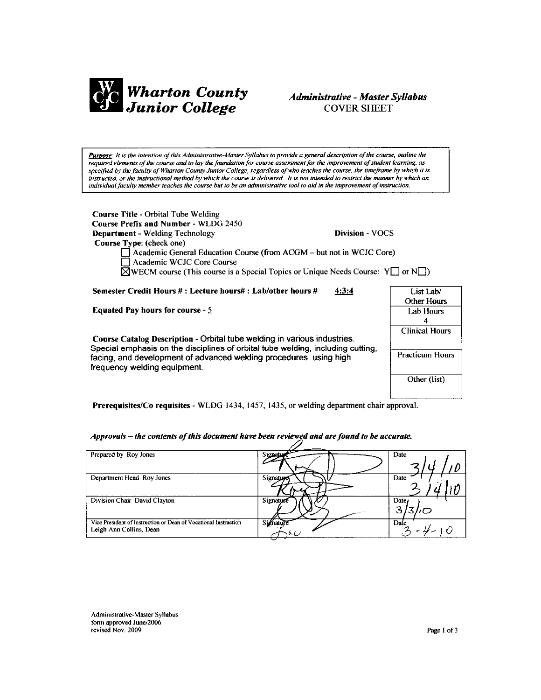

## **Administrative - Master Syllabus COVER SHEET**

Purpose: It is the intention of this Administrative-Master Syllabus to provide a general description of the course, outline the required elements of the course and to lay the foundation for course assessment for the improvement of student learning, as specified by the faculty of Wharton County Junior College, regardless of who teaches the course, the timeframe by which it is instructed, or the instructional method by which the course is delivered. It is not intended to restrict the manner by which an individual faculty member teaches the course but to be an administrative tool to aid in the im

| <b>Course Title - Orbital Tube Welding</b>                                                                                                                                            |                        |                        |
|---------------------------------------------------------------------------------------------------------------------------------------------------------------------------------------|------------------------|------------------------|
| <b>Course Prefix and Number - WLDG 2450</b>                                                                                                                                           |                        |                        |
| <b>Department</b> - Welding Technology                                                                                                                                                | <b>Division - VOCS</b> |                        |
| Course Type: (check one)                                                                                                                                                              |                        |                        |
| Academic General Education Course (from ACGM – but not in WCJC Core)<br>Academic WCJC Core Course                                                                                     |                        |                        |
| $\Box$ WECM course (This course is a Special Topics or Unique Needs Course: Y $\Box$ or N $\Box$ )                                                                                    |                        |                        |
| Semester Credit Hours # : Lecture hours# : Lab/other hours #                                                                                                                          | 4:3:4                  | List Lab/              |
|                                                                                                                                                                                       |                        | <b>Other Hours</b>     |
| <b>Equated Pay hours for course - 5</b>                                                                                                                                               |                        | Lab Hours              |
|                                                                                                                                                                                       |                        | 4                      |
|                                                                                                                                                                                       |                        | <b>Clinical Hours</b>  |
| Course Catalog Description - Orbital tube welding in various industries.                                                                                                              |                        |                        |
| Special emphasis on the disciplines of orbital tube welding, including cutting,<br>facing, and development of advanced welding procedures, using high<br>frequency welding equipment. |                        | <b>Practicum Hours</b> |
|                                                                                                                                                                                       |                        | Other (list)           |
|                                                                                                                                                                                       |                        |                        |

Prerequisites/Co requisites - WLDG 1434, 1457, 1435, or welding department chair approval.

| Prepared by Roy Jones                                                                      | Signatu            | Date                            |
|--------------------------------------------------------------------------------------------|--------------------|---------------------------------|
| Department Head Roy Jones                                                                  | Signature          | Date                            |
| Division Chair David Clayton                                                               | Signature          | Date <sub>l</sub><br>З<br>'311O |
| Vice President of Instruction or Dean of Vocational Instruction<br>Leigh Ann Collins, Dean | Signature<br>ر) ۱۸ | Date                            |

# Approvals – the contents of this document have been reviewed and are found to be accurate.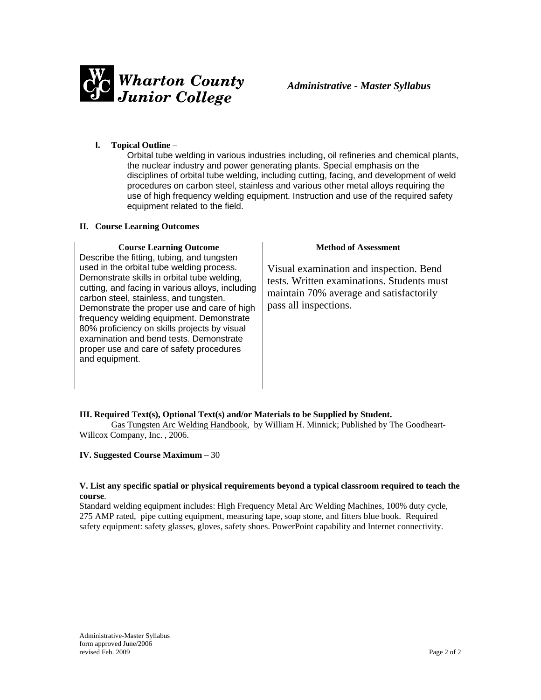

## **I. Topical Outline** –

Orbital tube welding in various industries including, oil refineries and chemical plants, the nuclear industry and power generating plants. Special emphasis on the disciplines of orbital tube welding, including cutting, facing, and development of weld procedures on carbon steel, stainless and various other metal alloys requiring the use of high frequency welding equipment. Instruction and use of the required safety equipment related to the field.

#### **II. Course Learning Outcomes**

| <b>Course Learning Outcome</b><br>Describe the fitting, tubing, and tungsten<br>used in the orbital tube welding process.<br>Demonstrate skills in orbital tube welding,<br>cutting, and facing in various alloys, including<br>carbon steel, stainless, and tungsten.<br>Demonstrate the proper use and care of high<br>frequency welding equipment. Demonstrate<br>80% proficiency on skills projects by visual<br>examination and bend tests. Demonstrate<br>proper use and care of safety procedures<br>and equipment. | <b>Method of Assessment</b><br>Visual examination and inspection. Bend<br>tests. Written examinations. Students must<br>maintain 70% average and satisfactorily<br>pass all inspections. |
|----------------------------------------------------------------------------------------------------------------------------------------------------------------------------------------------------------------------------------------------------------------------------------------------------------------------------------------------------------------------------------------------------------------------------------------------------------------------------------------------------------------------------|------------------------------------------------------------------------------------------------------------------------------------------------------------------------------------------|
|                                                                                                                                                                                                                                                                                                                                                                                                                                                                                                                            |                                                                                                                                                                                          |

### **III. Required Text(s), Optional Text(s) and/or Materials to be Supplied by Student.**

Gas Tungsten Arc Welding Handbook, by William H. Minnick; Published by The Goodheart-Willcox Company, Inc. , 2006.

### **IV. Suggested Course Maximum** – 30

#### **V. List any specific spatial or physical requirements beyond a typical classroom required to teach the course**.

Standard welding equipment includes: High Frequency Metal Arc Welding Machines, 100% duty cycle, 275 AMP rated, pipe cutting equipment, measuring tape, soap stone, and fitters blue book. Required safety equipment: safety glasses, gloves, safety shoes. PowerPoint capability and Internet connectivity.